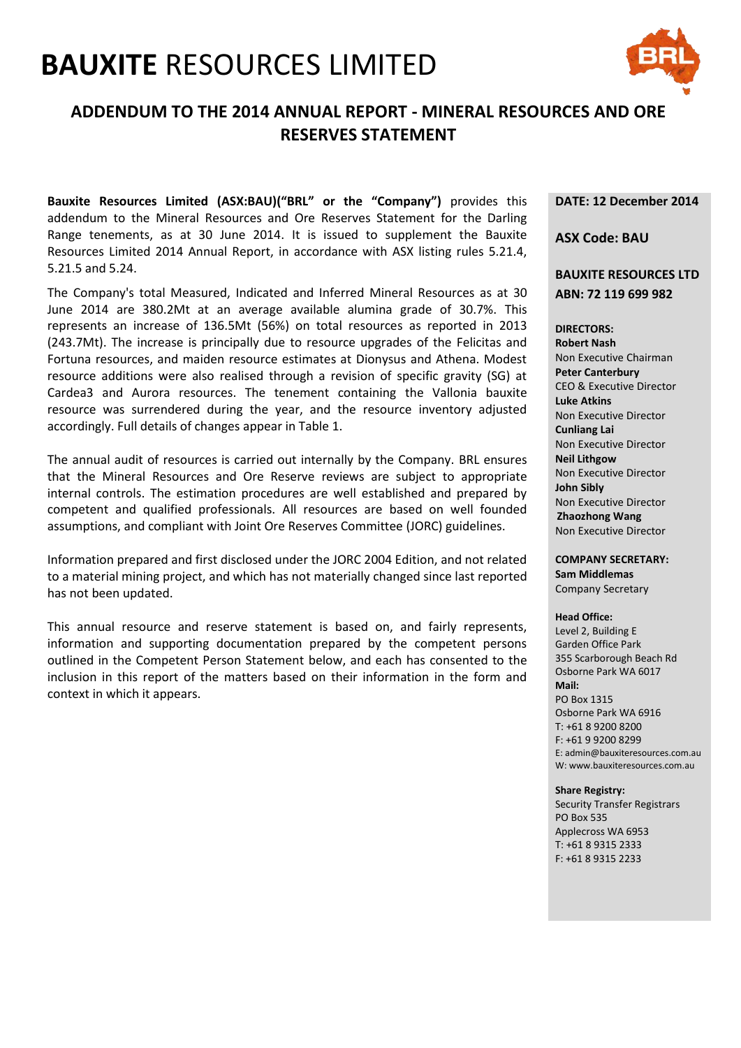# **BAUXITE** RESOURCES LIMITED



# **ADDENDUM TO THE 2014 ANNUAL REPORT - MINERAL RESOURCES AND ORE RESERVES STATEMENT**

**Bauxite Resources Limited (ASX:BAU)("BRL" or the "Company")** provides this addendum to the Mineral Resources and Ore Reserves Statement for the Darling Range tenements, as at 30 June 2014. It is issued to supplement the Bauxite Resources Limited 2014 Annual Report, in accordance with ASX listing rules 5.21.4, 5.21.5 and 5.24.

The Company's total Measured, Indicated and Inferred Mineral Resources as at 30 June 2014 are 380.2Mt at an average available alumina grade of 30.7%. This represents an increase of 136.5Mt (56%) on total resources as reported in 2013 (243.7Mt). The increase is principally due to resource upgrades of the Felicitas and Fortuna resources, and maiden resource estimates at Dionysus and Athena. Modest resource additions were also realised through a revision of specific gravity (SG) at Cardea3 and Aurora resources. The tenement containing the Vallonia bauxite resource was surrendered during the year, and the resource inventory adjusted accordingly. Full details of changes appear in Table 1.

The annual audit of resources is carried out internally by the Company. BRL ensures that the Mineral Resources and Ore Reserve reviews are subject to appropriate internal controls. The estimation procedures are well established and prepared by competent and qualified professionals. All resources are based on well founded assumptions, and compliant with Joint Ore Reserves Committee (JORC) guidelines.

Information prepared and first disclosed under the JORC 2004 Edition, and not related to a material mining project, and which has not materially changed since last reported has not been updated.

This annual resource and reserve statement is based on, and fairly represents, information and supporting documentation prepared by the competent persons outlined in the Competent Person Statement below, and each has consented to the inclusion in this report of the matters based on their information in the form and context in which it appears.

### **DATE: 12 December 2014**

**ASX Code: BAU**

**BAUXITE RESOURCES LTD ABN: 72 119 699 982**

**DIRECTORS: Robert Nash** Non Executive Chairman **Peter Canterbury**  CEO & Executive Director **Luke Atkins**  Non Executive Director **Cunliang Lai**  Non Executive Director **Neil Lithgow** Non Executive Director **John Sibly** Non Executive Director **Zhaozhong Wang**  Non Executive Director

**COMPANY SECRETARY: Sam Middlemas** Company Secretary

#### **Head Office:**

Level 2, Building E Garden Office Park 355 Scarborough Beach Rd Osborne Park WA 6017 **Mail:** PO Box 1315 Osborne Park WA 6916 T: +61 8 9200 8200 F: +61 9 9200 8299 E: admin@bauxiteresources.com.au W: www.bauxiteresources.com.au

#### **Share Registry:**

Security Transfer Registrars PO Box 535 Applecross WA 6953 T: +61 8 9315 2333 F: +61 8 9315 2233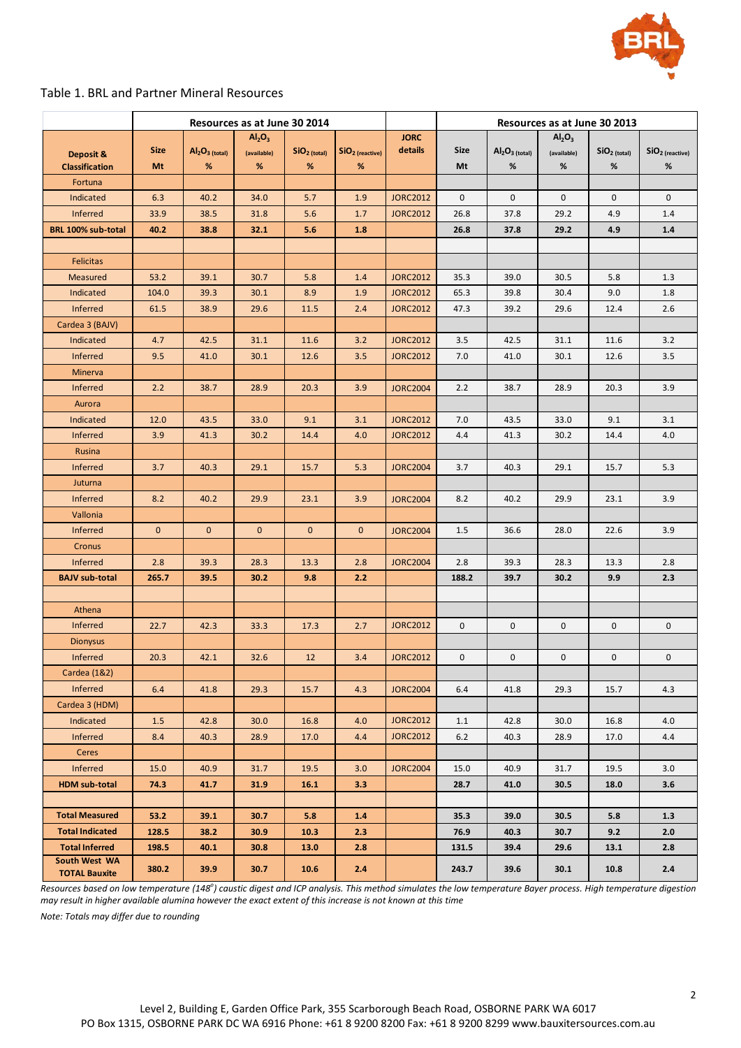

# Table 1. BRL and Partner Mineral Resources

|                                       | Resources as at June 30 2014   |                                        |              |                |                   |                                | Resources as at June 30 2013 |                   |             |                |                   |
|---------------------------------------|--------------------------------|----------------------------------------|--------------|----------------|-------------------|--------------------------------|------------------------------|-------------------|-------------|----------------|-------------------|
|                                       | Al <sub>2</sub> O <sub>3</sub> |                                        |              |                | <b>JORC</b>       | Al <sub>2</sub> O <sub>3</sub> |                              |                   |             |                |                   |
| Deposit &                             | <b>Size</b>                    | Al <sub>2</sub> O <sub>3 (total)</sub> | (available)  | $SiO2$ (total) | $SiO2$ (reactive) | details                        | <b>Size</b>                  | $Al_2O_3$ (total) | (available) | $SiO2$ (total) | $SiO2$ (reactive) |
| <b>Classification</b>                 | Mt                             | %                                      | %            | %              | %                 |                                | Mt                           | %                 | $\%$        | %              | $\%$              |
| Fortuna                               |                                |                                        |              |                |                   |                                |                              |                   |             |                |                   |
| Indicated                             | 6.3                            | 40.2                                   | 34.0         | 5.7            | 1.9               | <b>JORC2012</b>                | $\mathbf{0}$                 | $\mathbf{0}$      | 0           | $\mathbf 0$    | $\mathbf{0}$      |
| Inferred                              | 33.9                           | 38.5                                   | 31.8         | 5.6            | 1.7               | <b>JORC2012</b>                | 26.8                         | 37.8              | 29.2        | 4.9            | 1.4               |
| BRL 100% sub-total                    | 40.2                           | 38.8                                   | 32.1         | 5.6            | 1.8               |                                | 26.8                         | 37.8              | 29.2        | 4.9            | 1.4               |
|                                       |                                |                                        |              |                |                   |                                |                              |                   |             |                |                   |
| <b>Felicitas</b>                      |                                |                                        |              |                |                   |                                |                              |                   |             |                |                   |
| Measured                              | 53.2                           | 39.1                                   | 30.7         | 5.8            | 1.4               | <b>JORC2012</b>                | 35.3                         | 39.0              | 30.5        | 5.8            | 1.3               |
| Indicated                             | 104.0                          | 39.3                                   | 30.1         | 8.9            | 1.9               | <b>JORC2012</b>                | 65.3                         | 39.8              | 30.4        | 9.0            | 1.8               |
| Inferred                              | 61.5                           | 38.9                                   | 29.6         | 11.5           | 2.4               | <b>JORC2012</b>                | 47.3                         | 39.2              | 29.6        | 12.4           | 2.6               |
| Cardea 3 (BAJV)                       |                                |                                        |              |                |                   |                                |                              |                   |             |                |                   |
| Indicated                             | 4.7                            | 42.5                                   | 31.1         | 11.6           | 3.2               | <b>JORC2012</b>                | 3.5                          | 42.5              | 31.1        | 11.6           | 3.2               |
| Inferred                              | 9.5                            | 41.0                                   | 30.1         | 12.6           | 3.5               | <b>JORC2012</b>                | 7.0                          | 41.0              | 30.1        | 12.6           | 3.5               |
| Minerva                               |                                |                                        |              |                |                   |                                |                              |                   |             |                |                   |
| Inferred                              | 2.2                            | 38.7                                   | 28.9         | 20.3           | 3.9               | <b>JORC2004</b>                | 2.2                          | 38.7              | 28.9        | 20.3           | 3.9               |
| Aurora                                |                                |                                        |              |                |                   |                                |                              |                   |             |                |                   |
| Indicated                             | 12.0                           | 43.5                                   | 33.0         | 9.1            | 3.1               | <b>JORC2012</b>                | 7.0                          | 43.5              | 33.0        | 9.1            | 3.1               |
| Inferred                              | 3.9                            | 41.3                                   | 30.2         | 14.4           | 4.0               | <b>JORC2012</b>                | 4.4                          | 41.3              | 30.2        | 14.4           | 4.0               |
| Rusina                                |                                |                                        |              |                |                   |                                |                              |                   |             |                |                   |
| Inferred                              | 3.7                            | 40.3                                   | 29.1         | 15.7           | 5.3               | <b>JORC2004</b>                | 3.7                          | 40.3              | 29.1        | 15.7           | 5.3               |
| Juturna                               |                                |                                        |              |                |                   |                                |                              |                   |             |                |                   |
| Inferred                              | 8.2                            | 40.2                                   | 29.9         | 23.1           | 3.9               | <b>JORC2004</b>                | 8.2                          | 40.2              | 29.9        | 23.1           | 3.9               |
| Vallonia                              |                                |                                        |              |                |                   |                                |                              |                   |             |                |                   |
| Inferred                              | $\mathbf 0$                    | $\mathbf{0}$                           | $\mathbf{0}$ | $\pmb{0}$      | $\mathbf{0}$      | <b>JORC2004</b>                | 1.5                          | 36.6              | 28.0        | 22.6           | 3.9               |
| Cronus                                |                                |                                        |              |                |                   |                                |                              |                   |             |                |                   |
| Inferred                              | 2.8                            | 39.3                                   | 28.3         | 13.3           | 2.8               | <b>JORC2004</b>                | 2.8                          | 39.3              | 28.3        | 13.3           | 2.8               |
| <b>BAJV sub-total</b>                 | 265.7                          | 39.5                                   | 30.2         | 9.8            | 2.2               |                                | 188.2                        | 39.7              | 30.2        | 9.9            | 2.3               |
|                                       |                                |                                        |              |                |                   |                                |                              |                   |             |                |                   |
| Athena                                |                                |                                        |              |                |                   |                                |                              |                   |             |                |                   |
| Inferred                              | 22.7                           | 42.3                                   | 33.3         | 17.3           | 2.7               | <b>JORC2012</b>                | 0                            | 0                 | 0           | 0              | $\mathbf 0$       |
| <b>Dionysus</b>                       |                                |                                        |              |                |                   |                                |                              |                   |             |                |                   |
| Inferred                              | 20.3                           | 42.1                                   | 32.6         | 12             | 3.4               | <b>JORC2012</b>                | $\mathbf 0$                  | $\pmb{0}$         | 0           | 0              | $\mathbf 0$       |
| <b>Cardea (1&amp;2)</b>               |                                |                                        |              |                |                   |                                |                              |                   |             |                |                   |
| Inferred                              | 6.4                            | 41.8                                   | 29.3         | 15.7           | 4.3               | <b>JORC2004</b>                | 6.4                          | 41.8              | 29.3        | 15.7           | 4.3               |
| Cardea 3 (HDM)                        |                                |                                        |              |                |                   |                                |                              |                   |             |                |                   |
| Indicated                             | 1.5                            | 42.8                                   | 30.0         | 16.8           | 4.0               | <b>JORC2012</b>                | 1.1                          | 42.8              | 30.0        | 16.8           | 4.0               |
| <b>Inferred</b>                       | 8.4                            | 40.3                                   | 28.9         | 17.0           | 4.4               | <b>JORC2012</b>                | 6.2                          | 40.3              | 28.9        | 17.0           | 4.4               |
| Ceres                                 |                                |                                        |              |                |                   |                                |                              |                   |             |                |                   |
| <b>Inferred</b>                       | 15.0                           | 40.9                                   | 31.7         | 19.5           | 3.0               | <b>JORC2004</b>                | 15.0                         | 40.9              | 31.7        | 19.5           | 3.0               |
| HDM sub-total                         | 74.3                           | 41.7                                   | 31.9         | 16.1           | 3.3               |                                | 28.7                         | 41.0              | 30.5        | 18.0           | 3.6               |
|                                       |                                |                                        |              |                |                   |                                |                              |                   |             |                |                   |
| <b>Total Measured</b>                 | 53.2                           | 39.1                                   | 30.7         | 5.8            | $1.4$             |                                | 35.3                         | 39.0              | 30.5        | 5.8            | 1.3               |
| <b>Total Indicated</b>                | 128.5                          | 38.2                                   | 30.9         | 10.3           | 2.3               |                                | 76.9                         | 40.3              | 30.7        | 9.2            | 2.0               |
| <b>Total Inferred</b>                 | 198.5                          | 40.1                                   | 30.8         | 13.0           | 2.8               |                                | 131.5                        | 39.4              | 29.6        | 13.1           | 2.8               |
| South West WA<br><b>TOTAL Bauxite</b> | 380.2                          | 39.9                                   | 30.7         | 10.6           | 2.4               |                                | 243.7                        | 39.6              | 30.1        | 10.8           | 2.4               |

Resources based on low temperature (148<sup>°</sup>) caustic digest and ICP analysis. This method simulates the low temperature Bayer process. High temperature digestion *may result in higher available alumina however the exact extent of this increase is not known at this time*

*Note: Totals may differ due to rounding*